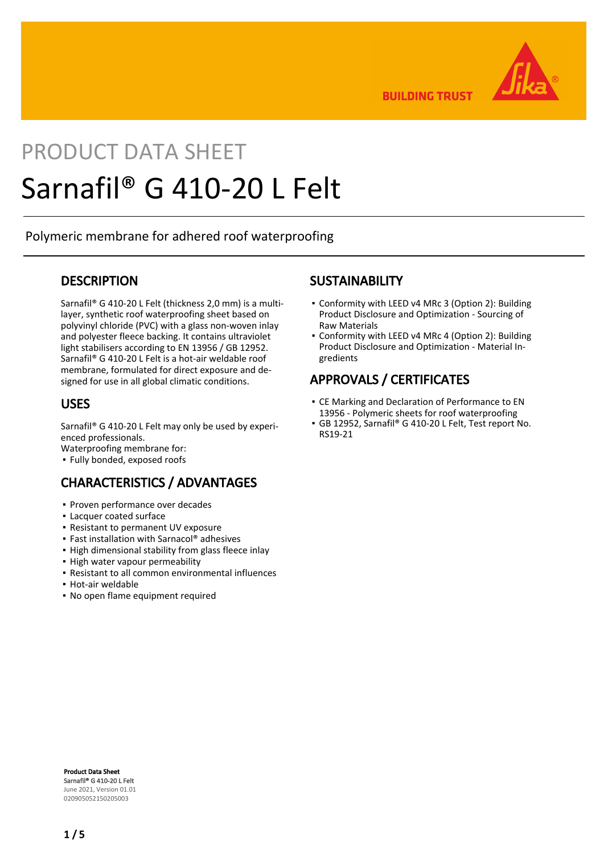

**BUILDING TRUST** 

# PRODUCT DATA SHEET Sarnafil® G 410-20 L Felt

Polymeric membrane for adhered roof waterproofing

### **DESCRIPTION**

Sarnafil® G 410-20 L Felt (thickness 2,0 mm) is a multilayer, synthetic roof waterproofing sheet based on polyvinyl chloride (PVC) with a glass non-woven inlay and polyester fleece backing. It contains ultraviolet light stabilisers according to EN 13956 / GB 12952. Sarnafil® G 410-20 L Felt is a hot-air weldable roof membrane, formulated for direct exposure and designed for use in all global climatic conditions.

### USES

Sarnafil® G 410-20 L Felt may only be used by experienced professionals.

Waterproofing membrane for:

▪ Fully bonded, exposed roofs

# CHARACTERISTICS / ADVANTAGES

- Proven performance over decades
- Lacquer coated surface
- Resistant to permanent UV exposure
- Fast installation with Sarnacol® adhesives
- **.** High dimensional stability from glass fleece inlay
- High water vapour permeability
- Resistant to all common environmental influences
- Hot-air weldable
- No open flame equipment required

### **SUSTAINABILITY**

- Conformity with LEED v4 MRc 3 (Option 2): Building Product Disclosure and Optimization - Sourcing of Raw Materials
- Conformity with LEED v4 MRc 4 (Option 2): Building Product Disclosure and Optimization - Material Ingredients

# APPROVALS / CERTIFICATES

- CE Marking and Declaration of Performance to EN 13956 - Polymeric sheets for roof waterproofing
- GB 12952, Sarnafil® G 410-20 L Felt, Test report No. RS19-21

Product Data Sheet Sarnafil® G 410-20 L Felt June 2021, Version 01.01 020905052150205003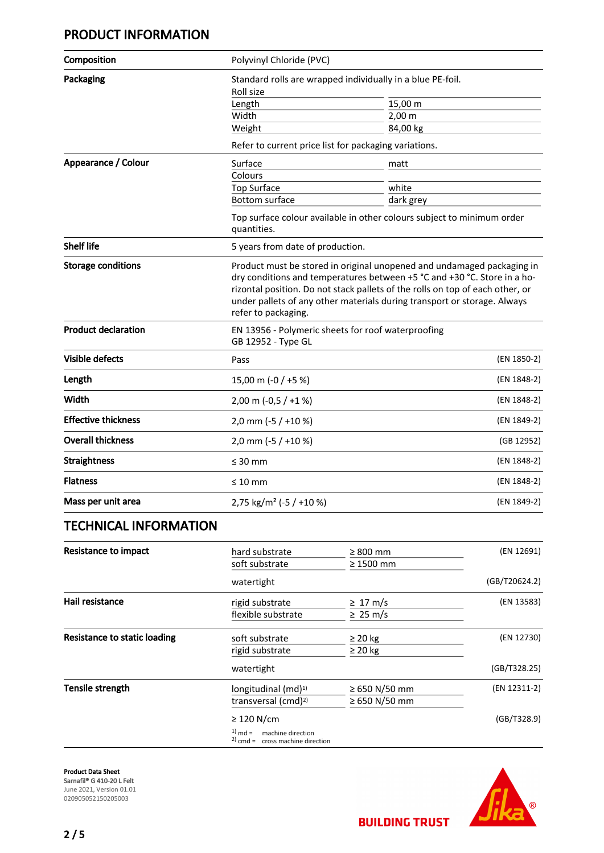# PRODUCT INFORMATION

| Composition                         | Polyvinyl Chloride (PVC)                                                                                                                                                                                                                                                                                                               |                       |               |  |
|-------------------------------------|----------------------------------------------------------------------------------------------------------------------------------------------------------------------------------------------------------------------------------------------------------------------------------------------------------------------------------------|-----------------------|---------------|--|
| Packaging                           | Standard rolls are wrapped individually in a blue PE-foil.                                                                                                                                                                                                                                                                             |                       |               |  |
|                                     | Roll size                                                                                                                                                                                                                                                                                                                              |                       |               |  |
|                                     | Length                                                                                                                                                                                                                                                                                                                                 | 15,00 m               |               |  |
|                                     | Width                                                                                                                                                                                                                                                                                                                                  | $2,00 \, \text{m}$    |               |  |
|                                     | Weight                                                                                                                                                                                                                                                                                                                                 | 84,00 kg              |               |  |
|                                     | Refer to current price list for packaging variations.                                                                                                                                                                                                                                                                                  |                       |               |  |
| Appearance / Colour                 | Surface                                                                                                                                                                                                                                                                                                                                | matt                  |               |  |
|                                     | Colours                                                                                                                                                                                                                                                                                                                                |                       |               |  |
|                                     | Top Surface                                                                                                                                                                                                                                                                                                                            | white                 |               |  |
|                                     | Bottom surface                                                                                                                                                                                                                                                                                                                         | dark grey             |               |  |
|                                     | Top surface colour available in other colours subject to minimum order<br>quantities.                                                                                                                                                                                                                                                  |                       |               |  |
| <b>Shelf life</b>                   | 5 years from date of production.                                                                                                                                                                                                                                                                                                       |                       |               |  |
| <b>Storage conditions</b>           | Product must be stored in original unopened and undamaged packaging in<br>dry conditions and temperatures between +5 °C and +30 °C. Store in a ho-<br>rizontal position. Do not stack pallets of the rolls on top of each other, or<br>under pallets of any other materials during transport or storage. Always<br>refer to packaging. |                       |               |  |
| <b>Product declaration</b>          | EN 13956 - Polymeric sheets for roof waterproofing<br>GB 12952 - Type GL                                                                                                                                                                                                                                                               |                       |               |  |
| <b>Visible defects</b>              | Pass                                                                                                                                                                                                                                                                                                                                   |                       | (EN 1850-2)   |  |
| Length                              | 15,00 m (-0 / +5 %)                                                                                                                                                                                                                                                                                                                    |                       | (EN 1848-2)   |  |
| Width                               | 2,00 m $(-0.5 / +1%)$                                                                                                                                                                                                                                                                                                                  |                       | (EN 1848-2)   |  |
| <b>Effective thickness</b>          | 2,0 mm (-5 / +10 %)                                                                                                                                                                                                                                                                                                                    |                       | (EN 1849-2)   |  |
| <b>Overall thickness</b>            | 2,0 mm (-5 / +10 %)                                                                                                                                                                                                                                                                                                                    |                       | (GB 12952)    |  |
| <b>Straightness</b>                 | $\leq 30$ mm                                                                                                                                                                                                                                                                                                                           |                       | (EN 1848-2)   |  |
| <b>Flatness</b>                     | $\leq 10$ mm                                                                                                                                                                                                                                                                                                                           |                       | (EN 1848-2)   |  |
| Mass per unit area                  | 2,75 kg/m <sup>2</sup> (-5 / +10 %)                                                                                                                                                                                                                                                                                                    |                       | (EN 1849-2)   |  |
| <b>TECHNICAL INFORMATION</b>        |                                                                                                                                                                                                                                                                                                                                        |                       |               |  |
| <b>Resistance to impact</b>         | hard substrate                                                                                                                                                                                                                                                                                                                         | $\geq 800$ mm         | (EN 12691)    |  |
|                                     | soft substrate                                                                                                                                                                                                                                                                                                                         | $\geq 1500$ mm        |               |  |
|                                     | watertight                                                                                                                                                                                                                                                                                                                             |                       | (GB/T20624.2) |  |
| Hail resistance                     | rigid substrate                                                                                                                                                                                                                                                                                                                        | $\geq 17 \text{ m/s}$ | (EN 13583)    |  |
|                                     | flexible substrate                                                                                                                                                                                                                                                                                                                     | $\geq 25 \text{ m/s}$ |               |  |
| <b>Resistance to static loading</b> | soft substrate                                                                                                                                                                                                                                                                                                                         | $\geq$ 20 kg          | (EN 12730)    |  |
|                                     | rigid substrate                                                                                                                                                                                                                                                                                                                        | ≥ 20 kg               |               |  |
|                                     | watertight                                                                                                                                                                                                                                                                                                                             |                       | (GB/T328.25)  |  |
| Tensile strength                    | longitudinal (md) <sup>1)</sup>                                                                                                                                                                                                                                                                                                        | ≥ 650 N/50 mm         | (EN 12311-2)  |  |

transversal (cmd)<sup>2)</sup>  $\geq 650 \text{ N}/50 \text{ mm}$ ≥ 120 N/cm (GB/T328.9)  $1)$  md = machine direction  $2)$  cmd = cross machine direction

Product Data Sheet Sarnafil® G 410-20 L Felt June 2021, Version 01.01 020905052150205003



**BUILDING TRUST**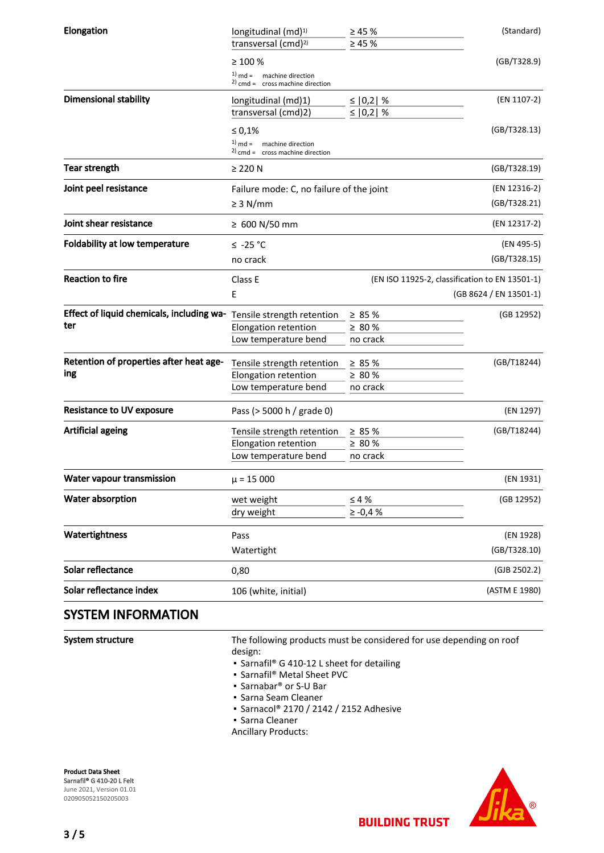| Elongation                                | longitudinal (md) <sup>1)</sup>                                   | $\geq 45 \%$ | (Standard)             |
|-------------------------------------------|-------------------------------------------------------------------|--------------|------------------------|
|                                           | transversal (cmd) <sup>2)</sup>                                   | $\geq 45 \%$ |                        |
|                                           | $\geq 100 \%$                                                     |              | (GB/T328.9)            |
|                                           | $1)$ md =<br>machine direction                                    |              |                        |
|                                           | $2)$ cmd = cross machine direction                                |              |                        |
| <b>Dimensional stability</b>              | longitudinal (md)1)                                               | ≤   0,2   %  | (EN 1107-2)            |
|                                           | transversal (cmd)2)                                               | ≤ $ 0,2 $ %  |                        |
|                                           | $\leq 0.1\%$                                                      |              | (GB/T328.13)           |
|                                           | $1)$ md = machine direction<br>$2)$ cmd = cross machine direction |              |                        |
|                                           |                                                                   |              |                        |
| <b>Tear strength</b>                      | $\geq$ 220 N                                                      |              | (GB/T328.19)           |
| Joint peel resistance                     | Failure mode: C, no failure of the joint                          |              | (EN 12316-2)           |
|                                           | $\geq$ 3 N/mm                                                     |              | (GB/T328.21)           |
| Joint shear resistance                    | $≥$ 600 N/50 mm                                                   |              | (EN 12317-2)           |
| <b>Foldability at low temperature</b>     | ≤ -25 °C                                                          |              | (EN 495-5)             |
|                                           | no crack                                                          |              | (GB/T328.15)           |
| <b>Reaction to fire</b>                   | (EN ISO 11925-2, classification to EN 13501-1)<br>Class E         |              |                        |
|                                           | E                                                                 |              | (GB 8624 / EN 13501-1) |
| Effect of liquid chemicals, including wa- | Tensile strength retention                                        | $\geq 85 \%$ | (GB 12952)             |
| ter                                       | Elongation retention                                              | $\geq 80 \%$ |                        |
|                                           | Low temperature bend                                              | no crack     |                        |
| Retention of properties after heat age-   | Tensile strength retention                                        | $\geq 85 \%$ | (GB/T18244)            |
| ing                                       | Elongation retention                                              | ≥ 80 %       |                        |
|                                           | Low temperature bend                                              | no crack     |                        |
| <b>Resistance to UV exposure</b>          |                                                                   |              | (EN 1297)              |
|                                           | Pass (> 5000 h / grade 0)                                         |              |                        |
| <b>Artificial ageing</b>                  | Tensile strength retention                                        | $\geq 85 \%$ | (GB/T18244)            |
|                                           | Elongation retention                                              | $\geq 80$ %  |                        |
|                                           | Low temperature bend                                              | no crack     |                        |
| Water vapour transmission                 | $\mu$ = 15 000                                                    |              | (EN 1931)              |
| Water absorption                          | wet weight                                                        | $\leq 4\%$   | (GB 12952)             |
|                                           | dry weight                                                        | $\ge -0.4%$  |                        |
| Watertightness                            | Pass                                                              |              | (EN 1928)              |
|                                           | Watertight                                                        |              | (GB/T328.10)           |
| Solar reflectance                         | 0,80                                                              |              | (GJB 2502.2)           |
| Solar reflectance index                   | 106 (white, initial)                                              |              | (ASTM E 1980)          |

## SYSTEM INFORMATION

System structure

The following products must be considered for use depending on roof design:

**BUILDING TRUST** 

- Sarnafil® G 410-12 L sheet for detailing
- Sarnafil® Metal Sheet PVC
- Sarnabar<sup>®</sup> or S-U Bar
- Sarna Seam Cleaner
- Sarnacol® 2170 / 2142 / 2152 Adhesive
- Sarna Cleaner
- Ancillary Products:

Product Data Sheet Sarnafil® G 410-20 L Felt June 2021, Version 01.01 020905052150205003

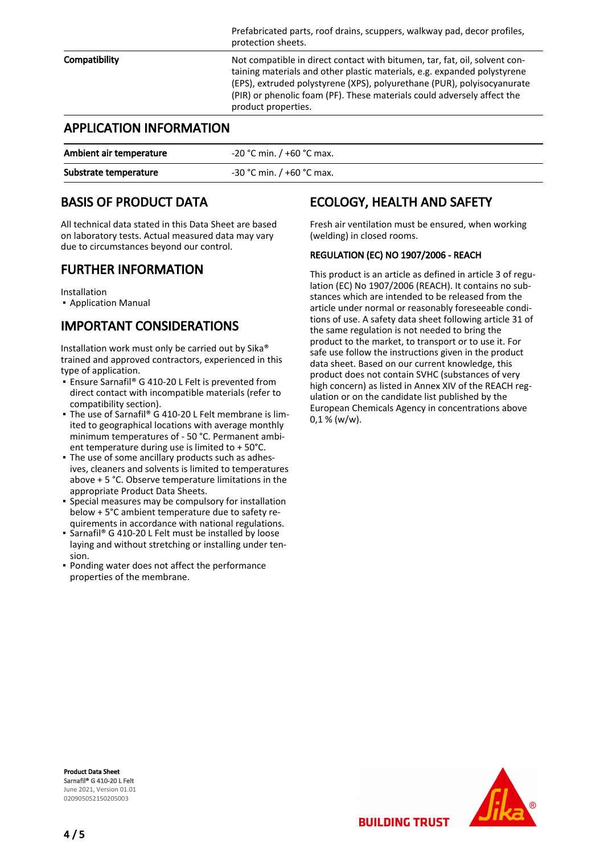|                                | Prefabricated parts, roof drains, scuppers, walkway pad, decor profiles,<br>protection sheets.                                                                                                                                                                                                                                      |
|--------------------------------|-------------------------------------------------------------------------------------------------------------------------------------------------------------------------------------------------------------------------------------------------------------------------------------------------------------------------------------|
| Compatibility                  | Not compatible in direct contact with bitumen, tar, fat, oil, solvent con-<br>taining materials and other plastic materials, e.g. expanded polystyrene<br>(EPS), extruded polystyrene (XPS), polyurethane (PUR), polyisocyanurate<br>(PIR) or phenolic foam (PF). These materials could adversely affect the<br>product properties. |
| <b>APPLICATION INFORMATION</b> |                                                                                                                                                                                                                                                                                                                                     |

| Ambient air temperature | -20 °C min. / +60 °C max. |
|-------------------------|---------------------------|
| Substrate temperature   | -30 °C min. / +60 °C max. |

# BASIS OF PRODUCT DATA

All technical data stated in this Data Sheet are based on laboratory tests. Actual measured data may vary due to circumstances beyond our control.

### FURTHER INFORMATION

Installation

▪ Application Manual

# IMPORTANT CONSIDERATIONS

Installation work must only be carried out by Sika® trained and approved contractors, experienced in this type of application.

- Ensure Sarnafil® G 410-20 L Felt is prevented from direct contact with incompatible materials (refer to compatibility section).
- The use of Sarnafil® G 410-20 L Felt membrane is limited to geographical locations with average monthly minimum temperatures of - 50 °C. Permanent ambient temperature during use is limited to + 50°C.
- The use of some ancillary products such as adhes-▪ ives, cleaners and solvents is limited to temperatures above + 5 °C. Observe temperature limitations in the appropriate Product Data Sheets.
- Special measures may be compulsory for installation below + 5°C ambient temperature due to safety requirements in accordance with national regulations.
- Sarnafil® G 410-20 L Felt must be installed by loose laying and without stretching or installing under tension. ▪
- **Ponding water does not affect the performance** properties of the membrane.

# ECOLOGY, HEALTH AND SAFETY

Fresh air ventilation must be ensured, when working (welding) in closed rooms.

#### REGULATION (EC) NO 1907/2006 - REACH

This product is an article as defined in article 3 of regulation (EC) No 1907/2006 (REACH). It contains no substances which are intended to be released from the article under normal or reasonably foreseeable conditions of use. A safety data sheet following article 31 of the same regulation is not needed to bring the product to the market, to transport or to use it. For safe use follow the instructions given in the product data sheet. Based on our current knowledge, this product does not contain SVHC (substances of very high concern) as listed in Annex XIV of the REACH regulation or on the candidate list published by the European Chemicals Agency in concentrations above  $0.1 % (w/w).$ 

Product Data Sheet Sarnafil® G 410-20 L Felt June 2021, Version 01.01 020905052150205003



**BUILDING TRUST**